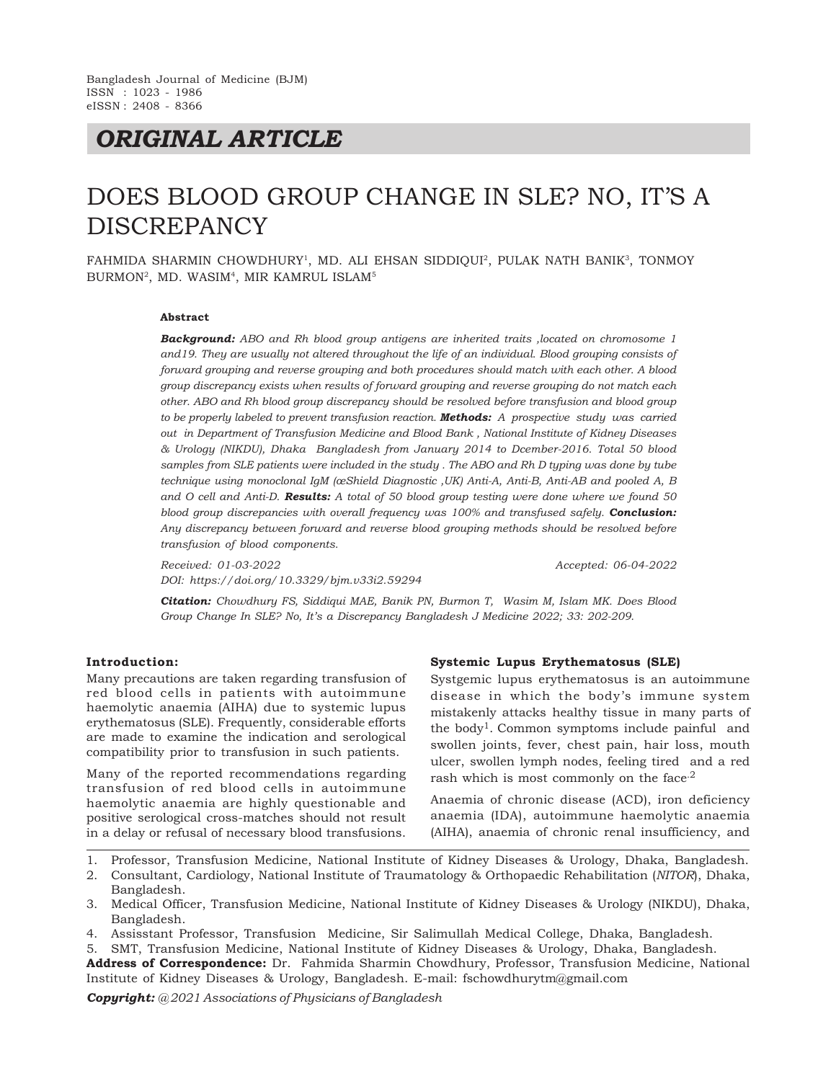# *ORIGINAL ARTICLE*

# DOES BLOOD GROUP CHANGE IN SLE? NO, IT'S A DISCREPANCY

FAHMIDA SHARMIN CHOWDHURY<sup>1</sup>, MD. ALI EHSAN SIDDIQUI<sup>2</sup>, PULAK NATH BANIK<sup>3</sup>, TONMOY BURMON<sup>2</sup> , MD. WASIM<sup>4</sup> , MIR KAMRUL ISLAM<sup>5</sup>

#### **Abstract**

*Background: ABO and Rh blood group antigens are inherited traits ,located on chromosome 1 and19. They are usually not altered throughout the life of an individual. Blood grouping consists of forward grouping and reverse grouping and both procedures should match with each other. A blood group discrepancy exists when results of forward grouping and reverse grouping do not match each other. ABO and Rh blood group discrepancy should be resolved before transfusion and blood group to be properly labeled to prevent transfusion reaction. Methods: A prospective study was carried out in Department of Transfusion Medicine and Blood Bank , National Institute of Kidney Diseases & Urology (NIKDU), Dhaka Bangladesh from January 2014 to Dcember-2016. Total 50 blood samples from SLE patients were included in the study . The ABO and Rh D typing was done by tube technique using monoclonal IgM (œShield Diagnostic ,UK) Anti-A, Anti-B, Anti-AB and pooled A, B and O cell and Anti-D. Results: A total of 50 blood group testing were done where we found 50 blood group discrepancies with overall frequency was 100% and transfused safely. Conclusion: Any discrepancy between forward and reverse blood grouping methods should be resolved before transfusion of blood components.*

*Received: 01-03-2022 Accepted: 06-04-2022 DOI: https://doi.org/10.3329/bjm.v33i2.59294*

*Citation: Chowdhury FS, Siddiqui MAE, Banik PN, Burmon T, Wasim M, Islam MK. Does Blood Group Change In SLE? No, It's a Discrepancy Bangladesh J Medicine 2022; 33: 202-209.*

#### **Introduction:**

Many precautions are taken regarding transfusion of red blood cells in patients with autoimmune haemolytic anaemia (AIHA) due to systemic lupus erythematosus (SLE). Frequently, considerable efforts are made to examine the indication and serological compatibility prior to transfusion in such patients.

Many of the reported recommendations regarding transfusion of red blood cells in autoimmune haemolytic anaemia are highly questionable and positive serological cross-matches should not result in a delay or refusal of necessary blood transfusions.

#### **Systemic Lupus Erythematosus (SLE)**

Systgemic lupus erythematosus is an autoimmune disease in which the body's immune system mistakenly attacks healthy tissue in many parts of the body<sup>1</sup>. Common symptoms include painful and swollen joints, fever, chest pain, hair loss, mouth ulcer, swollen lymph nodes, feeling tired and a red rash which is most commonly on the face.<sup>2</sup>

Anaemia of chronic disease (ACD), iron deficiency anaemia (IDA), autoimmune haemolytic anaemia (AIHA), anaemia of chronic renal insufficiency, and

- 1. Professor, Transfusion Medicine, National Institute of Kidney Diseases & Urology, Dhaka, Bangladesh.
- 2. Consultant, Cardiology, National Institute of Traumatology & Orthopaedic Rehabilitation (*NITOR*), Dhaka, Bangladesh.
- 3. Medical Officer, Transfusion Medicine, National Institute of Kidney Diseases & Urology (NIKDU), Dhaka, Bangladesh.
- 4. Assisstant Professor, Transfusion Medicine, Sir Salimullah Medical College, Dhaka, Bangladesh.
- 5. SMT, Transfusion Medicine, National Institute of Kidney Diseases & Urology, Dhaka, Bangladesh.
- **Address of Correspondence:** Dr. Fahmida Sharmin Chowdhury, Professor, Transfusion Medicine, National Institute of Kidney Diseases & Urology, Bangladesh. E-mail: fschowdhurytm@gmail.com

*Copyright: @ 2021 Associations of Physicians of Bangladesh*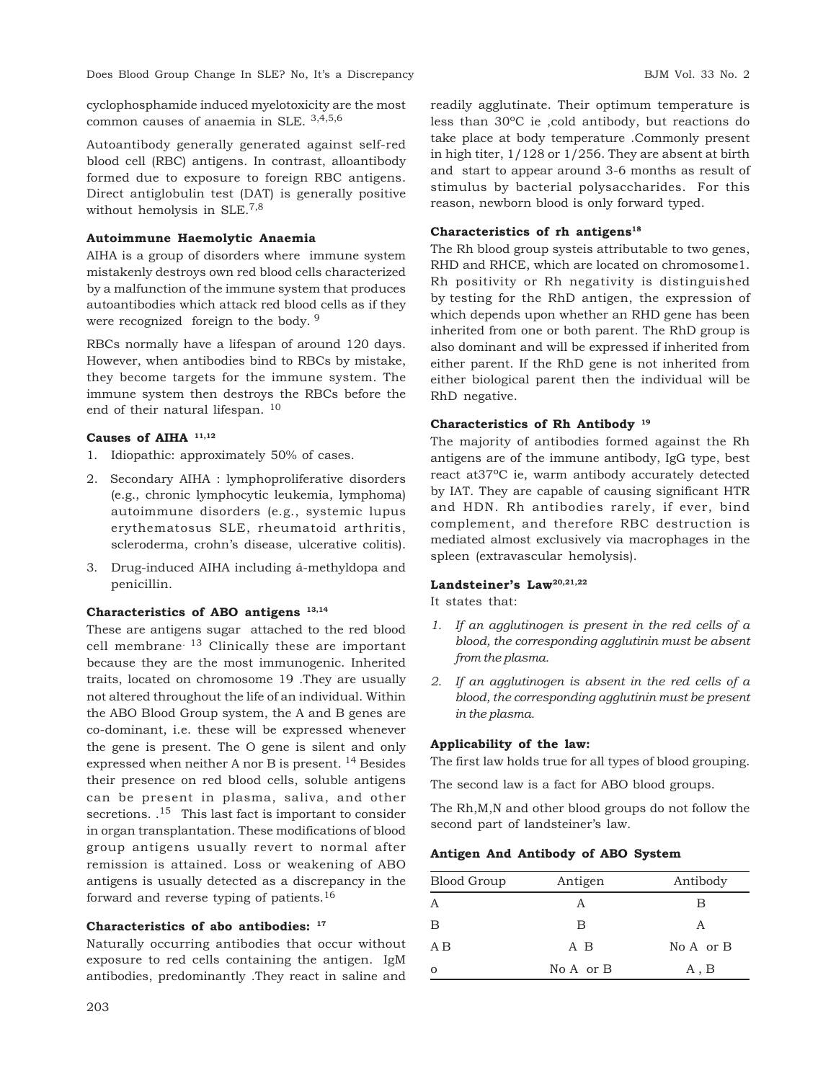Does Blood Group Change In SLE? No, It's a Discrepancy and the set of the BJM Vol. 33 No. 2

cyclophosphamide induced myelotoxicity are the most common causes of anaemia in SLE. 3,4,5,6

Autoantibody generally generated against self-red blood cell (RBC) antigens. In contrast, alloantibody formed due to exposure to foreign RBC antigens. Direct antiglobulin test (DAT) is generally positive without hemolysis in SLE.7,8

### **Autoimmune Haemolytic Anaemia**

AIHA is a group of disorders where immune system mistakenly destroys own red blood cells characterized by a malfunction of the immune system that produces autoantibodies which attack red blood cells as if they were recognized foreign to the body. <sup>9</sup>

RBCs normally have a lifespan of around 120 days. However, when antibodies bind to RBCs by mistake, they become targets for the immune system. The immune system then destroys the RBCs before the end of their natural lifespan. <sup>10</sup>

### **Causes of AIHA 11,12**

- 1. Idiopathic: approximately 50% of cases.
- 2. Secondary AIHA : lymphoproliferative disorders (e.g., chronic lymphocytic leukemia, lymphoma) autoimmune disorders (e.g., systemic lupus erythematosus SLE, rheumatoid arthritis, scleroderma, crohn's disease, ulcerative colitis).
- 3. Drug-induced AIHA including á-methyldopa and penicillin.

### **Characteristics of ABO antigens 13,14**

These are antigens sugar attached to the red blood cell membrane. 13 Clinically these are important because they are the most immunogenic. Inherited traits, located on chromosome 19 .They are usually not altered throughout the life of an individual. Within the ABO Blood Group system, the A and B genes are co-dominant, i.e. these will be expressed whenever the gene is present. The O gene is silent and only expressed when neither A nor B is present. 14 Besides their presence on red blood cells, soluble antigens can be present in plasma, saliva, and other secretions. .<sup>15</sup> This last fact is important to consider in organ transplantation. These modifications of blood group antigens usually revert to normal after remission is attained. Loss or weakening of ABO antigens is usually detected as a discrepancy in the forward and reverse typing of patients.<sup>16</sup>

### **Characteristics of abo antibodies: <sup>17</sup>**

Naturally occurring antibodies that occur without exposure to red cells containing the antigen. IgM antibodies, predominantly .They react in saline and readily agglutinate. Their optimum temperature is less than 30oC ie ,cold antibody, but reactions do take place at body temperature .Commonly present in high titer, 1/128 or 1/256. They are absent at birth and start to appear around 3-6 months as result of stimulus by bacterial polysaccharides. For this reason, newborn blood is only forward typed.

### **Characteristics of rh antigens<sup>18</sup>**

The Rh blood group systeis attributable to two genes, RHD and RHCE, which are located on chromosome1. Rh positivity or Rh negativity is distinguished by testing for the RhD antigen, the expression of which depends upon whether an RHD gene has been inherited from one or both parent. The RhD group is also dominant and will be expressed if inherited from either parent. If the RhD gene is not inherited from either biological parent then the individual will be RhD negative.

### **Characteristics of Rh Antibody <sup>19</sup>**

The majority of antibodies formed against the Rh antigens are of the immune antibody, IgG type, best react at 37<sup>o</sup>C ie, warm antibody accurately detected by IAT. They are capable of causing significant HTR and HDN. Rh antibodies rarely, if ever, bind complement, and therefore RBC destruction is mediated almost exclusively via macrophages in the spleen (extravascular hemolysis).

### **Landsteiner's Law20,21,22**

It states that:

- *1. If an agglutinogen is present in the red cells of a blood, the corresponding agglutinin must be absent from the plasma.*
- *2. If an agglutinogen is absent in the red cells of a blood, the corresponding agglutinin must be present in the plasma.*

### **Applicability of the law:**

The first law holds true for all types of blood grouping.

The second law is a fact for ABO blood groups.

The Rh,M,N and other blood groups do not follow the second part of landsteiner's law.

### **Antigen And Antibody of ABO System**

| <b>Blood Group</b> | Antigen   | Antibody      |
|--------------------|-----------|---------------|
| А                  |           | В             |
| B                  | B         | A             |
| A B                | A B       | $No A$ or $B$ |
| $\circ$            | No A or B | A, B          |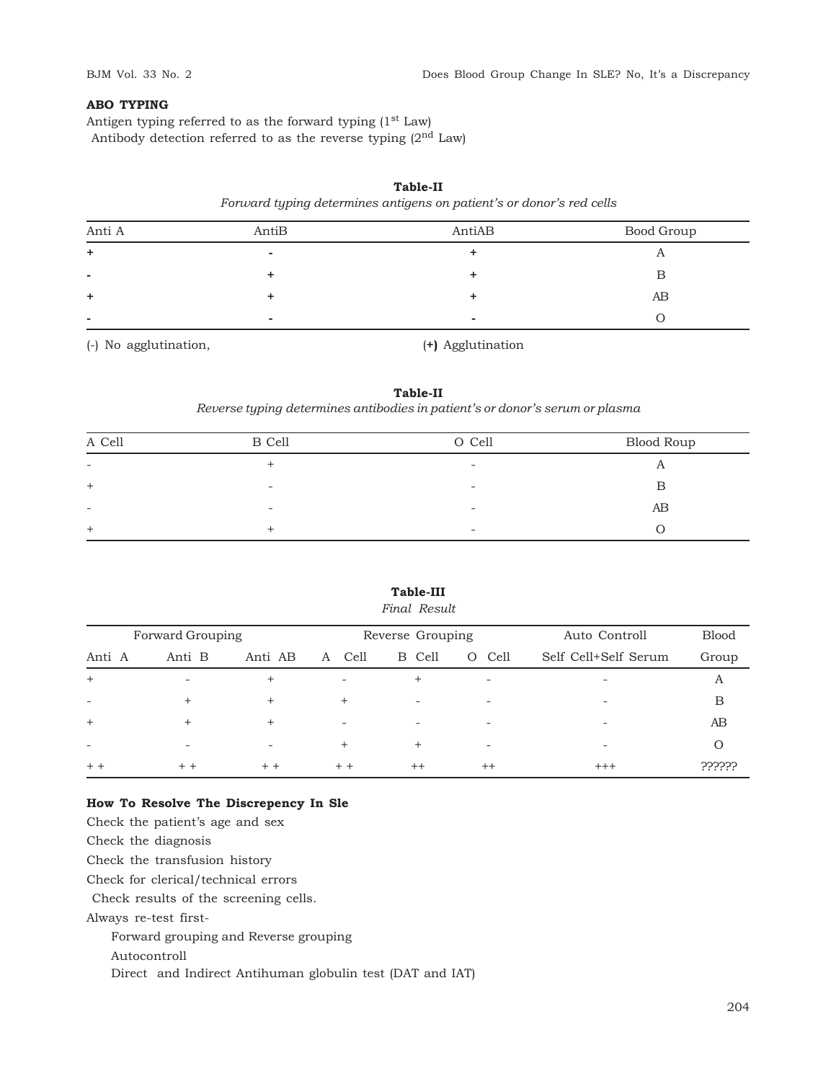## **ABO TYPING**

Antigen typing referred to as the forward typing  $(1<sup>st</sup> Law)$ Antibody detection referred to as the reverse typing  $(2<sup>nd</sup> Law)$ 

# *Forward typing determines antigens on patient's or donor's red cells* Anti A AntiB AntiAB Bood Group **+ - +** A **- + +** B **+ + +** AB **- - -** O

**Table-II**

(-) No agglutination, (**+)** Agglutination

### **Table-II** *Reverse typing determines antibodies in patient's or donor's serum or plasma*

| A Cell                   | B Cell                   | O Cell                   | Blood Roup |
|--------------------------|--------------------------|--------------------------|------------|
| $\sim$                   | $\div$                   | $\overline{\phantom{0}}$ | A          |
| $^{+}$                   | $\overline{\phantom{a}}$ | -                        | B          |
| $\overline{\phantom{a}}$ | $\sim$                   | $\overline{\phantom{a}}$ | AB         |
| $+$                      | <b>+</b>                 | $\overline{\phantom{0}}$ |            |

# **Table-III**

# *Final Result*

|        | Forward Grouping         |         |                          | Reverse Grouping         |                  | Auto Controll                | <b>Blood</b> |
|--------|--------------------------|---------|--------------------------|--------------------------|------------------|------------------------------|--------------|
| Anti A | Anti B                   | Anti AB | Cell<br>A                | B Cell                   | Cell<br>$\Omega$ | Self Cell+Self Serum         | Group        |
| $+$    | $\overline{\phantom{a}}$ | $+$     | $\sim$                   | $^{+}$                   | $\sim$           | $\overline{\phantom{a}}$     | Α            |
| ۰      | $\div$                   | $+$     | $^{+}$                   | $\overline{\phantom{a}}$ | ۰                | $\overline{\phantom{a}}$     | В            |
| $+$    | $\pm$                    | $^{+}$  | $\overline{\phantom{a}}$ | $\overline{\phantom{a}}$ | ۰                | $\qquad \qquad \blacksquare$ | AΒ           |
| ۰      |                          | ÷       | $\ddot{}$                | $^{+}$                   | $\sim$           | $\overline{\phantom{a}}$     |              |
| $+ +$  | $+ +$                    | $+ +$   | $+ +$                    | $++$                     | $^{++}$          | $+++$                        | ??????       |

## **How To Resolve The Discrepency In Sle**

Check the patient's age and sex Check the diagnosis Check the transfusion history Check for clerical/technical errors Check results of the screening cells. Always re-test first-Forward grouping and Reverse grouping Autocontroll Direct and Indirect Antihuman globulin test (DAT and IAT)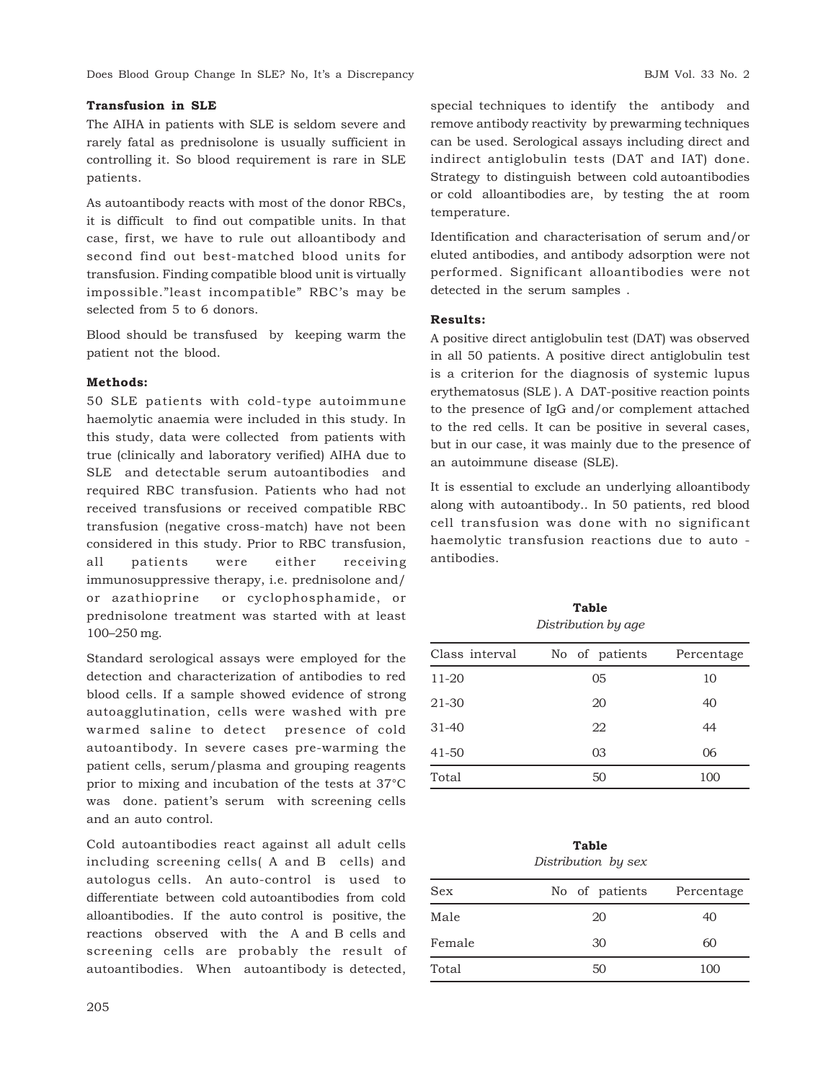### **Transfusion in SLE**

The AIHA in patients with SLE is seldom severe and rarely fatal as prednisolone is usually sufficient in controlling it. So blood requirement is rare in SLE patients.

As autoantibody reacts with most of the donor RBCs, it is difficult to find out compatible units. In that case, first, we have to rule out alloantibody and second find out best-matched blood units for transfusion. Finding compatible blood unit is virtually impossible."least incompatible" RBC's may be selected from 5 to 6 donors.

Blood should be transfused by keeping warm the patient not the blood.

### **Methods:**

50 SLE patients with cold-type autoimmune haemolytic anaemia were included in this study. In this study, data were collected from patients with true (clinically and laboratory verified) AIHA due to SLE and detectable serum autoantibodies and required RBC transfusion. Patients who had not received transfusions or received compatible RBC transfusion (negative cross-match) have not been considered in this study. Prior to RBC transfusion, all patients were either receiving immunosuppressive therapy, i.e. prednisolone and/ or azathioprine or cyclophosphamide, or prednisolone treatment was started with at least 100–250 mg.

Standard serological assays were employed for the detection and characterization of antibodies to red blood cells. If a sample showed evidence of strong autoagglutination, cells were washed with pre warmed saline to detect presence of cold autoantibody. In severe cases pre-warming the patient cells, serum/plasma and grouping reagents prior to mixing and incubation of the tests at 37°C was done. patient's serum with screening cells and an auto control.

Cold autoantibodies react against all adult cells including screening cells( A and B cells) and autologus cells. An auto-control is used to differentiate between cold autoantibodies from cold alloantibodies. If the auto control is positive, the reactions observed with the A and B cells and screening cells are probably the result of autoantibodies. When autoantibody is detected,

special techniques to identify the antibody and remove antibody reactivity by prewarming techniques can be used. Serological assays including direct and indirect antiglobulin tests (DAT and IAT) done. Strategy to distinguish between cold autoantibodies or cold alloantibodies are, by testing the at room temperature.

Identification and characterisation of serum and/or eluted antibodies, and antibody adsorption were not performed. Significant alloantibodies were not detected in the serum samples .

### **Results:**

A positive direct antiglobulin test (DAT) was observed in all 50 patients. A positive direct antiglobulin test is a criterion for the diagnosis of systemic lupus erythematosus (SLE ). A DAT-positive reaction points to the presence of IgG and/or complement attached to the red cells. It can be positive in several cases, but in our case, it was mainly due to the presence of an autoimmune disease (SLE).

It is essential to exclude an underlying alloantibody along with autoantibody.. In 50 patients, red blood cell transfusion was done with no significant haemolytic transfusion reactions due to auto antibodies.

**Table** *Distribution by age*

| Class interval | No of patients | Percentage |
|----------------|----------------|------------|
| $11 - 20$      | 05             | 10         |
| 21-30          | 20             | 40         |
| $31 - 40$      | 22             | 44         |
| $41 - 50$      | 03             | 06         |
| Total          | 50             | 100        |

### **Table** *Distribution by sex*

| Sex    | No of patients Percentage |     |
|--------|---------------------------|-----|
| Male   | 20                        | 40  |
| Female | 30                        | 60  |
| Total  | 50                        | 100 |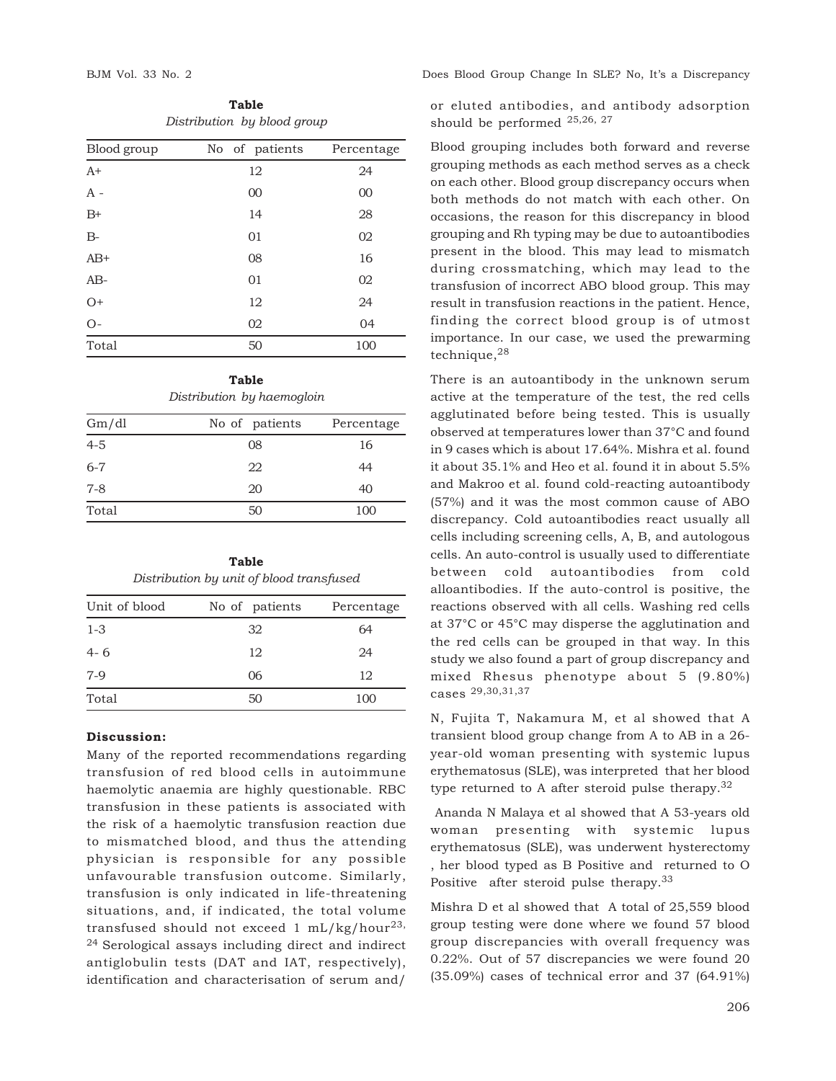**Table** *Distribution by blood group*

| Blood group | No of patients | Percentage |
|-------------|----------------|------------|
| $A+$        | 12             | 24         |
| $A -$       | 00             | 00         |
| $B+$        | 14             | 28         |
| $B-$        | 01             | 02         |
| $AB+$       | 08             | 16         |
| $AB-$       | 01             | 02         |
| $O+$        | 12             | 24         |
| $O -$       | 02             | 04         |
| Total       | 50             | 100        |

**Table** *Distribution by haemogloin*

| Gm/dl   | No of patients | Percentage |
|---------|----------------|------------|
| $4 - 5$ | 08             | 16         |
| $6 - 7$ | 22             | 44         |
| $7 - 8$ | 20             | 40         |
| Total   | 50             | 100        |

| Table                                    |  |  |  |
|------------------------------------------|--|--|--|
| Distribution by unit of blood transfused |  |  |  |

| Unit of blood | No of patients | Percentage |
|---------------|----------------|------------|
| $1 - 3$       | 32             | 64         |
| $4 - 6$       | 12             | 24         |
| $7-9$         | 06             | 12         |
| Total         | 50             | 100        |
|               |                |            |

### **Discussion:**

Many of the reported recommendations regarding transfusion of red blood cells in autoimmune haemolytic anaemia are highly questionable. RBC transfusion in these patients is associated with the risk of a haemolytic transfusion reaction due to mismatched blood, and thus the attending physician is responsible for any possible unfavourable transfusion outcome. Similarly, transfusion is only indicated in life-threatening situations, and, if indicated, the total volume transfused should not exceed 1 mL/kg/hour<sup>23,</sup> <sup>24</sup> Serological assays including direct and indirect antiglobulin tests (DAT and IAT, respectively), identification and characterisation of serum and/

BJM Vol. 33 No. 2 Does Blood Group Change In SLE? No, It's a Discrepancy

or eluted antibodies, and antibody adsorption should be performed 25,26, 27

Blood grouping includes both forward and reverse grouping methods as each method serves as a check on each other. Blood group discrepancy occurs when both methods do not match with each other. On occasions, the reason for this discrepancy in blood grouping and Rh typing may be due to autoantibodies present in the blood. This may lead to mismatch during crossmatching, which may lead to the transfusion of incorrect ABO blood group. This may result in transfusion reactions in the patient. Hence, finding the correct blood group is of utmost importance. In our case, we used the prewarming technique,<sup>28</sup>

There is an autoantibody in the unknown serum active at the temperature of the test, the red cells agglutinated before being tested. This is usually observed at temperatures lower than 37°C and found in 9 cases which is about 17.64%. Mishra et al. found it about 35.1% and Heo et al. found it in about 5.5% and Makroo et al. found cold-reacting autoantibody (57%) and it was the most common cause of ABO discrepancy. Cold autoantibodies react usually all cells including screening cells, A, B, and autologous cells. An auto-control is usually used to differentiate between cold autoantibodies from cold alloantibodies. If the auto-control is positive, the reactions observed with all cells. Washing red cells at 37°C or 45°C may disperse the agglutination and the red cells can be grouped in that way. In this study we also found a part of group discrepancy and mixed Rhesus phenotype about 5 (9.80%) cases 29,30,31,37

N, Fujita T, Nakamura M, et al showed that A transient blood group change from A to AB in a 26 year-old woman presenting with systemic lupus erythematosus (SLE), was interpreted that her blood type returned to A after steroid pulse therapy.<sup>32</sup>

 Ananda N Malaya et al showed that A 53-years old woman presenting with systemic lupus erythematosus (SLE), was underwent hysterectomy , her blood typed as B Positive and returned to O Positive after steroid pulse therapy.<sup>33</sup>

Mishra D et al showed that A total of 25,559 blood group testing were done where we found 57 blood group discrepancies with overall frequency was 0.22%. Out of 57 discrepancies we were found 20 (35.09%) cases of technical error and 37 (64.91%)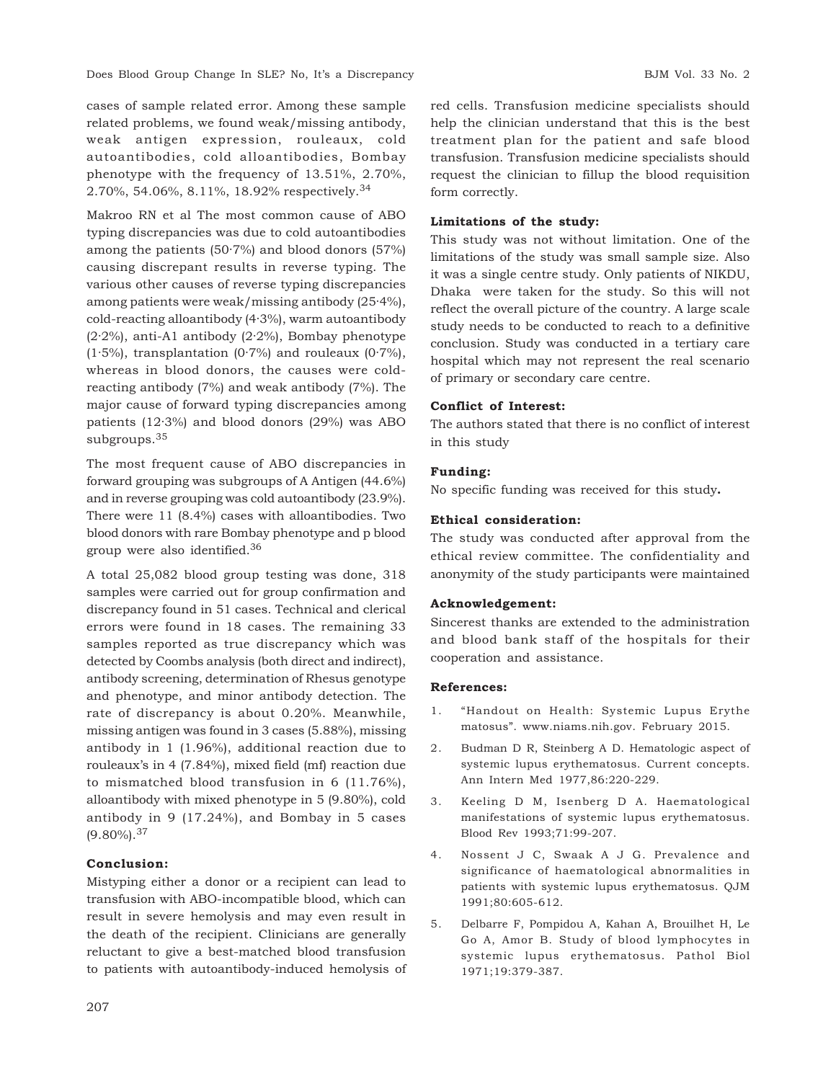cases of sample related error. Among these sample related problems, we found weak/missing antibody, weak antigen expression, rouleaux, cold autoantibodies, cold alloantibodies, Bombay phenotype with the frequency of 13.51%, 2.70%, 2.70%, 54.06%, 8.11%, 18.92% respectively.<sup>34</sup>

Makroo RN et al The most common cause of ABO typing discrepancies was due to cold autoantibodies among the patients (50·7%) and blood donors (57%) causing discrepant results in reverse typing. The various other causes of reverse typing discrepancies among patients were weak/missing antibody (25·4%), cold-reacting alloantibody (4·3%), warm autoantibody (2·2%), anti-A1 antibody (2·2%), Bombay phenotype  $(1.5\%)$ , transplantation  $(0.7\%)$  and rouleaux  $(0.7\%)$ , whereas in blood donors, the causes were coldreacting antibody (7%) and weak antibody (7%). The major cause of forward typing discrepancies among patients (12·3%) and blood donors (29%) was ABO subgroups.<sup>35</sup>

The most frequent cause of ABO discrepancies in forward grouping was subgroups of A Antigen (44.6%) and in reverse grouping was cold autoantibody (23.9%). There were 11 (8.4%) cases with alloantibodies. Two blood donors with rare Bombay phenotype and p blood group were also identified.<sup>36</sup>

A total 25,082 blood group testing was done, 318 samples were carried out for group confirmation and discrepancy found in 51 cases. Technical and clerical errors were found in 18 cases. The remaining 33 samples reported as true discrepancy which was detected by Coombs analysis (both direct and indirect), antibody screening, determination of Rhesus genotype and phenotype, and minor antibody detection. The rate of discrepancy is about 0.20%. Meanwhile, missing antigen was found in 3 cases (5.88%), missing antibody in 1 (1.96%), additional reaction due to rouleaux's in 4 (7.84%), mixed field (mf) reaction due to mismatched blood transfusion in 6 (11.76%), alloantibody with mixed phenotype in 5 (9.80%), cold antibody in 9 (17.24%), and Bombay in 5 cases  $(9.80\%)$ <sup>37</sup>

### **Conclusion:**

Mistyping either a donor or a recipient can lead to transfusion with ABO-incompatible blood, which can result in severe hemolysis and may even result in the death of the recipient. Clinicians are generally reluctant to give a best-matched blood transfusion to patients with autoantibody-induced hemolysis of red cells. Transfusion medicine specialists should help the clinician understand that this is the best treatment plan for the patient and safe blood transfusion. Transfusion medicine specialists should request the clinician to fillup the blood requisition form correctly.

### **Limitations of the study:**

This study was not without limitation. One of the limitations of the study was small sample size. Also it was a single centre study. Only patients of NIKDU, Dhaka were taken for the study. So this will not reflect the overall picture of the country. A large scale study needs to be conducted to reach to a definitive conclusion. Study was conducted in a tertiary care hospital which may not represent the real scenario of primary or secondary care centre.

### **Conflict of Interest:**

The authors stated that there is no conflict of interest in this study

### **Funding:**

No specific funding was received for this study**.**

### **Ethical consideration:**

The study was conducted after approval from the ethical review committee. The confidentiality and anonymity of the study participants were maintained

### **Acknowledgement:**

Sincerest thanks are extended to the administration and blood bank staff of the hospitals for their cooperation and assistance.

### **References:**

- 1. "Handout on Health: Systemic Lupus Erythe matosus". www.niams.nih.gov. February 2015.
- 2. Budman D R, Steinberg A D. Hematologic aspect of systemic lupus erythematosus. Current concepts. Ann Intern Med 1977,86:220-229.
- 3. Keeling D M, Isenberg D A. Haematological manifestations of systemic lupus erythematosus. Blood Rev 1993;71:99-207.
- 4. Nossent J C, Swaak A J G. Prevalence and significance of haematological abnormalities in patients with systemic lupus erythematosus. QJM 1991;80:605-612.
- 5. Delbarre F, Pompidou A, Kahan A, Brouilhet H, Le Go A, Amor B. Study of blood lymphocytes in systemic lupus erythematosus. Pathol Biol 1971;19:379-387.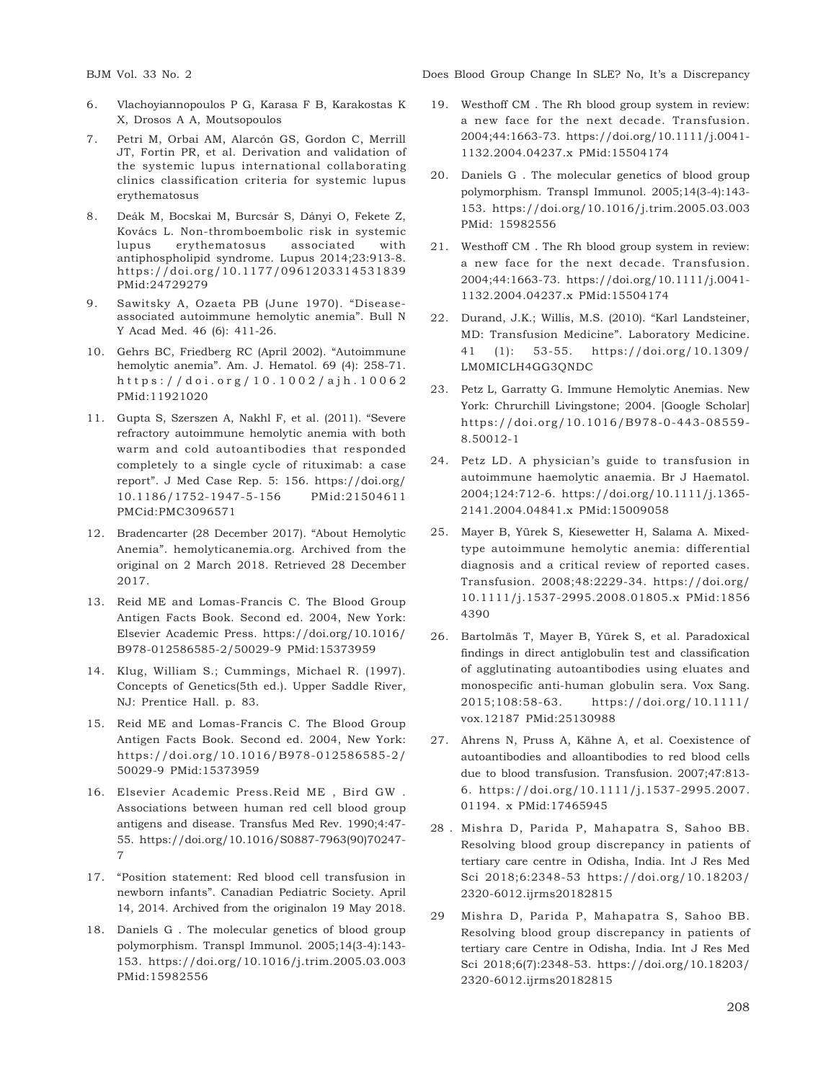- 6. Vlachoyiannopoulos P G, Karasa F B, Karakostas K X, Drosos A A, Moutsopoulos
- 7. Petri M, Orbai AM, Alarcón GS, Gordon C, Merrill JT, Fortin PR, et al. Derivation and validation of the systemic lupus international collaborating clinics classification criteria for systemic lupus erythematosus
- 8. Deák M, Bocskai M, Burcsár S, Dányi O, Fekete Z, Kovács L. Non-thromboembolic risk in systemic lupus erythematosus associated with antiphospholipid syndrome. Lupus 2014;23:913-8. https://doi.org/10.1177/0961203314531839 PMid:24729279
- 9. Sawitsky A, Ozaeta PB (June 1970). "Diseaseassociated autoimmune hemolytic anemia". Bull N Y Acad Med. 46 (6): 411-26.
- 10. Gehrs BC, Friedberg RC (April 2002). "Autoimmune hemolytic anemia". Am. J. Hematol. 69 (4): 258-71. https://doi .org/10.1002/ajh.10062 PMid:11921020
- 11. Gupta S, Szerszen A, Nakhl F, et al. (2011). "Severe refractory autoimmune hemolytic anemia with both warm and cold autoantibodies that responded completely to a single cycle of rituximab: a case report". J Med Case Rep. 5: 156. https://doi.org/ 10.1186/1752-1947-5-156 PMid:21504611 PMCid:PMC3096571
- 12. Bradencarter (28 December 2017). "About Hemolytic Anemia". hemolyticanemia.org. Archived from the original on 2 March 2018. Retrieved 28 December 2017.
- 13. Reid ME and Lomas-Francis C. The Blood Group Antigen Facts Book. Second ed. 2004, New York: Elsevier Academic Press. https://doi.org/10.1016/ B978-012586585-2/50029-9 PMid:15373959
- 14. Klug, William S.; Cummings, Michael R. (1997). Concepts of Genetics(5th ed.). Upper Saddle River, NJ: Prentice Hall. p. 83.
- 15. Reid ME and Lomas-Francis C. The Blood Group Antigen Facts Book. Second ed. 2004, New York: https://doi.org/10.1016/B978-012586585-2/ 50029-9 PMid:15373959
- 16. Elsevier Academic Press.Reid ME , Bird GW . Associations between human red cell blood group antigens and disease. Transfus Med Rev. 1990;4:47- 55. https://doi.org/10.1016/S0887-7963(90)70247- 7
- 17. "Position statement: Red blood cell transfusion in newborn infants". Canadian Pediatric Society. April 14, 2014. Archived from the originalon 19 May 2018.
- 18. Daniels G . The molecular genetics of blood group polymorphism. Transpl Immunol. 2005;14(3-4):143- 153. https://doi.org/10.1016/j.trim.2005.03.003 PMid:15982556

BJM Vol. 33 No. 2 Does Blood Group Change In SLE? No, It's a Discrepancy

- 19. Westhoff CM . The Rh blood group system in review: a new face for the next decade. Transfusion. 2004;44:1663-73. https://doi.org/10.1111/j.0041- 1132.2004.04237.x PMid:15504174
- 20. Daniels G . The molecular genetics of blood group polymorphism. Transpl Immunol. 2005;14(3-4):143- 153. https://doi.org/10.1016/j.trim.2005.03.003 PMid: 15982556
- 21. Westhoff CM . The Rh blood group system in review: a new face for the next decade. Transfusion. 2004;44:1663-73. https://doi.org/10.1111/j.0041- 1132.2004.04237.x PMid:15504174
- 22. Durand, J.K.; Willis, M.S. (2010). "Karl Landsteiner, MD: Transfusion Medicine". Laboratory Medicine. 41 (1): 53-55. https://doi.org/10.1309/ LM0MICLH4GG3QNDC
- 23. Petz L, Garratty G. Immune Hemolytic Anemias. New York: Chrurchill Livingstone; 2004. [Google Scholar] https://doi.org/10.1016/B978-0-443-08559- 8.50012-1
- 24. Petz LD. A physician's guide to transfusion in autoimmune haemolytic anaemia. Br J Haematol. 2004;124:712-6. https://doi.org/10.1111/j.1365- 2141.2004.04841.x PMid:15009058
- 25. Mayer B, Yürek S, Kiesewetter H, Salama A. Mixedtype autoimmune hemolytic anemia: differential diagnosis and a critical review of reported cases. Transfusion. 2008;48:2229-34. https://doi.org/ 10.1111/j.1537-2995.2008.01805.x PMid:1856 4390
- 26. Bartolmäs T, Mayer B, Yürek S, et al. Paradoxical findings in direct antiglobulin test and classification of agglutinating autoantibodies using eluates and monospecific anti-human globulin sera. Vox Sang. 2015;108:58-63. https://doi.org/10.1111/ vox.12187 PMid:25130988
- 27. Ahrens N, Pruss A, Kähne A, et al. Coexistence of autoantibodies and alloantibodies to red blood cells due to blood transfusion. Transfusion. 2007;47:813- 6. https://doi.org/10.1111/j.1537-2995.2007. 01194. x PMid:17465945
- 28 . Mishra D, Parida P, Mahapatra S, Sahoo BB. Resolving blood group discrepancy in patients of tertiary care centre in Odisha, India. Int J Res Med Sci 2018;6:2348-53 https://doi.org/10.18203/ 2320-6012.ijrms20182815
- 29 Mishra D, Parida P, Mahapatra S, Sahoo BB. Resolving blood group discrepancy in patients of tertiary care Centre in Odisha, India. Int J Res Med Sci 2018;6(7):2348-53. https://doi.org/10.18203/ 2320-6012.ijrms20182815